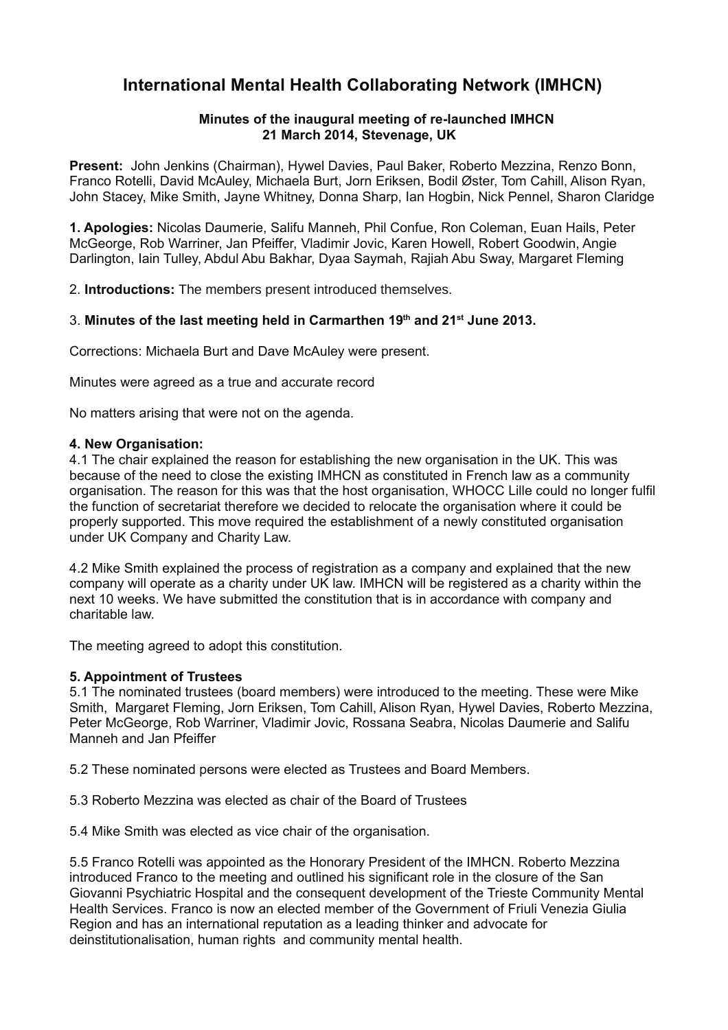# **International Mental Health Collaborating Network (IMHCN)**

## **Minutes of the inaugural meeting of re-launched IMHCN 21 March 2014, Stevenage, UK**

**Present:** John Jenkins (Chairman), Hywel Davies, Paul Baker, Roberto Mezzina, Renzo Bonn, Franco Rotelli, David McAuley, Michaela Burt, Jorn Eriksen, Bodil Øster, Tom Cahill, Alison Ryan, John Stacey, Mike Smith, Jayne Whitney, Donna Sharp, Ian Hogbin, Nick Pennel, Sharon Claridge

**1. Apologies:** Nicolas Daumerie, Salifu Manneh, Phil Confue, Ron Coleman, Euan Hails, Peter McGeorge, Rob Warriner, Jan Pfeiffer, Vladimir Jovic, Karen Howell, Robert Goodwin, Angie Darlington, Iain Tulley, Abdul Abu Bakhar, Dyaa Saymah, Rajiah Abu Sway, Margaret Fleming

2. **Introductions:** The members present introduced themselves.

## 3. **Minutes of the last meeting held in Carmarthen 19th and 21st June 2013.**

Corrections: Michaela Burt and Dave McAuley were present.

Minutes were agreed as a true and accurate record

No matters arising that were not on the agenda.

#### **4. New Organisation:**

4.1 The chair explained the reason for establishing the new organisation in the UK. This was because of the need to close the existing IMHCN as constituted in French law as a community organisation. The reason for this was that the host organisation, WHOCC Lille could no longer fulfil the function of secretariat therefore we decided to relocate the organisation where it could be properly supported. This move required the establishment of a newly constituted organisation under UK Company and Charity Law.

4.2 Mike Smith explained the process of registration as a company and explained that the new company will operate as a charity under UK law. IMHCN will be registered as a charity within the next 10 weeks. We have submitted the constitution that is in accordance with company and charitable law.

The meeting agreed to adopt this constitution.

## **5. Appointment of Trustees**

5.1 The nominated trustees (board members) were introduced to the meeting. These were Mike Smith, Margaret Fleming, Jorn Eriksen, Tom Cahill, Alison Ryan, Hywel Davies, Roberto Mezzina, Peter McGeorge, Rob Warriner, Vladimir Jovic, Rossana Seabra, Nicolas Daumerie and Salifu Manneh and Jan Pfeiffer

5.2 These nominated persons were elected as Trustees and Board Members.

5.3 Roberto Mezzina was elected as chair of the Board of Trustees

5.4 Mike Smith was elected as vice chair of the organisation.

5.5 Franco Rotelli was appointed as the Honorary President of the IMHCN. Roberto Mezzina introduced Franco to the meeting and outlined his significant role in the closure of the San Giovanni Psychiatric Hospital and the consequent development of the Trieste Community Mental Health Services. Franco is now an elected member of the Government of Friuli Venezia Giulia Region and has an international reputation as a leading thinker and advocate for deinstitutionalisation, human rights and community mental health.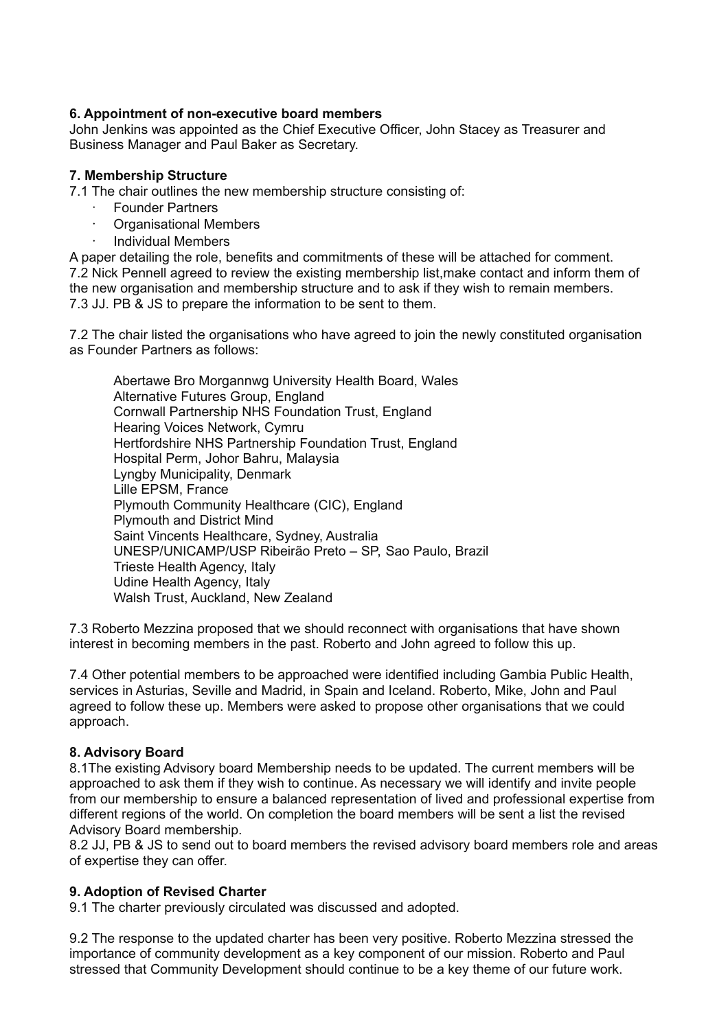## **6. Appointment of non-executive board members**

John Jenkins was appointed as the Chief Executive Officer, John Stacey as Treasurer and Business Manager and Paul Baker as Secretary.

## **7. Membership Structure**

7.1 The chair outlines the new membership structure consisting of:

- · Founder Partners
- · Organisational Members
- · Individual Members

A paper detailing the role, benefits and commitments of these will be attached for comment. 7.2 Nick Pennell agreed to review the existing membership list,make contact and inform them of the new organisation and membership structure and to ask if they wish to remain members. 7.3 JJ. PB & JS to prepare the information to be sent to them.

7.2 The chair listed the organisations who have agreed to join the newly constituted organisation as Founder Partners as follows:

Abertawe Bro Morgannwg University Health Board, Wales Alternative Futures Group, England Cornwall Partnership NHS Foundation Trust, England Hearing Voices Network, Cymru Hertfordshire NHS Partnership Foundation Trust, England Hospital Perm, Johor Bahru, Malaysia Lyngby Municipality, Denmark Lille EPSM, France Plymouth Community Healthcare (CIC), England Plymouth and District Mind Saint Vincents Healthcare, Sydney, Australia UNESP/UNICAMP/USP Ribeirão Preto – SP, Sao Paulo, Brazil Trieste Health Agency, Italy Udine Health Agency, Italy Walsh Trust, Auckland, New Zealand

7.3 Roberto Mezzina proposed that we should reconnect with organisations that have shown interest in becoming members in the past. Roberto and John agreed to follow this up.

7.4 Other potential members to be approached were identified including Gambia Public Health, services in Asturias, Seville and Madrid, in Spain and Iceland. Roberto, Mike, John and Paul agreed to follow these up. Members were asked to propose other organisations that we could approach.

## **8. Advisory Board**

8.1The existing Advisory board Membership needs to be updated. The current members will be approached to ask them if they wish to continue. As necessary we will identify and invite people from our membership to ensure a balanced representation of lived and professional expertise from different regions of the world. On completion the board members will be sent a list the revised Advisory Board membership.

8.2 JJ, PB & JS to send out to board members the revised advisory board members role and areas of expertise they can offer.

## **9. Adoption of Revised Charter**

9.1 The charter previously circulated was discussed and adopted.

9.2 The response to the updated charter has been very positive. Roberto Mezzina stressed the importance of community development as a key component of our mission. Roberto and Paul stressed that Community Development should continue to be a key theme of our future work.